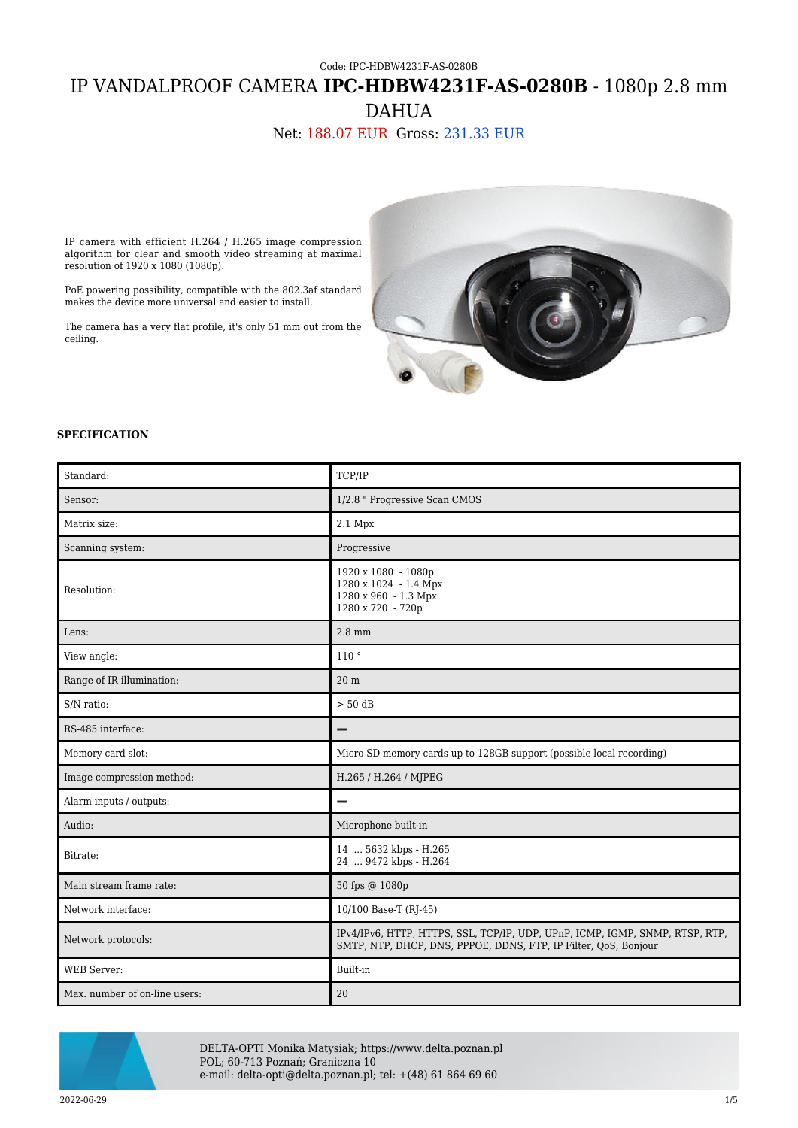# Code: IPC-HDBW4231F-AS-0280B IP VANDALPROOF CAMERA **IPC-HDBW4231F-AS-0280B** - 1080p 2.8 mm DAHUA

# Net: 188.07 EUR Gross: 231.33 EUR

IP camera with efficient H.264 / H.265 image compression algorithm for clear and smooth video streaming at maximal resolution of 1920 x 1080 (1080p).

PoE powering possibility, compatible with the 802.3af standard makes the device more universal and easier to install.

The camera has a very flat profile, it's only 51 mm out from the ceiling.



#### **SPECIFICATION**

| Standard:                     | TCP/IP                                                                                                                                          |
|-------------------------------|-------------------------------------------------------------------------------------------------------------------------------------------------|
| Sensor:                       | 1/2.8 " Progressive Scan CMOS                                                                                                                   |
| Matrix size:                  | 2.1 Mpx                                                                                                                                         |
| Scanning system:              | Progressive                                                                                                                                     |
| Resolution:                   | 1920 x 1080 - 1080p<br>1280 x 1024 - 1.4 Mpx<br>1280 x 960 - 1.3 Mpx<br>1280 x 720 - 720p                                                       |
| Lens:                         | $2.8 \text{ mm}$                                                                                                                                |
| View angle:                   | 110°                                                                                                                                            |
| Range of IR illumination:     | 20 <sub>m</sub>                                                                                                                                 |
| S/N ratio:                    | $> 50$ dB                                                                                                                                       |
| RS-485 interface:             |                                                                                                                                                 |
| Memory card slot:             | Micro SD memory cards up to 128GB support (possible local recording)                                                                            |
| Image compression method:     | H.265 / H.264 / MJPEG                                                                                                                           |
| Alarm inputs / outputs:       | -                                                                                                                                               |
| Audio:                        | Microphone built-in                                                                                                                             |
| Bitrate:                      | 14  5632 kbps - H.265<br>24  9472 kbps - H.264                                                                                                  |
| Main stream frame rate:       | 50 fps @ 1080p                                                                                                                                  |
| Network interface:            | 10/100 Base-T (RJ-45)                                                                                                                           |
| Network protocols:            | IPv4/IPv6, HTTP, HTTPS, SSL, TCP/IP, UDP, UPnP, ICMP, IGMP, SNMP, RTSP, RTP,<br>SMTP, NTP, DHCP, DNS, PPPOE, DDNS, FTP, IP Filter, QoS, Bonjour |
| <b>WEB</b> Server:            | Built-in                                                                                                                                        |
| Max. number of on-line users: | 20                                                                                                                                              |



DELTA-OPTI Monika Matysiak; https://www.delta.poznan.pl POL; 60-713 Poznań; Graniczna 10 e-mail: delta-opti@delta.poznan.pl; tel: +(48) 61 864 69 60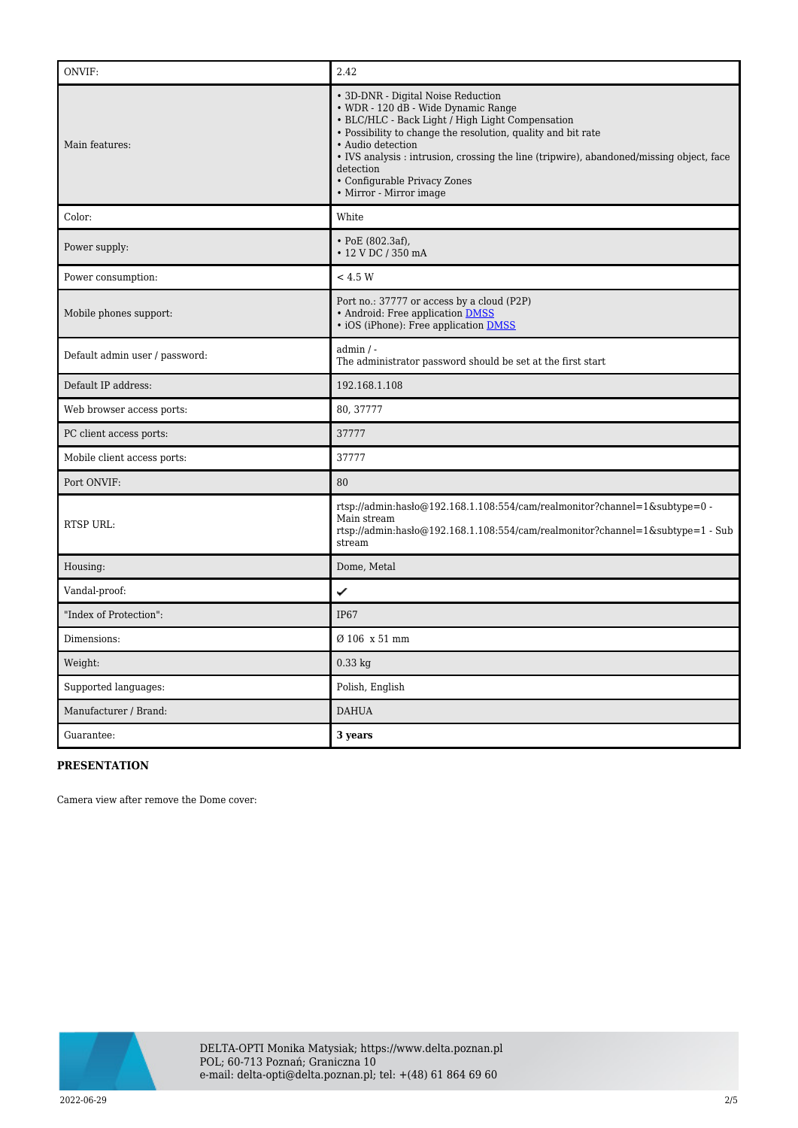| ONVIF:                         | 2.42                                                                                                                                                                                                                                                                                                                                                                                   |
|--------------------------------|----------------------------------------------------------------------------------------------------------------------------------------------------------------------------------------------------------------------------------------------------------------------------------------------------------------------------------------------------------------------------------------|
| Main features:                 | • 3D-DNR - Digital Noise Reduction<br>• WDR - 120 dB - Wide Dynamic Range<br>• BLC/HLC - Back Light / High Light Compensation<br>• Possibility to change the resolution, quality and bit rate<br>• Audio detection<br>• IVS analysis : intrusion, crossing the line (tripwire), abandoned/missing object, face<br>detection<br>• Configurable Privacy Zones<br>• Mirror - Mirror image |
| Color:                         | White                                                                                                                                                                                                                                                                                                                                                                                  |
| Power supply:                  | • PoE $(802.3af)$ ,<br>• 12 V DC / 350 mA                                                                                                                                                                                                                                                                                                                                              |
| Power consumption:             | < 4.5 W                                                                                                                                                                                                                                                                                                                                                                                |
| Mobile phones support:         | Port no.: 37777 or access by a cloud (P2P)<br>• Android: Free application DMSS<br>• iOS (iPhone): Free application DMSS                                                                                                                                                                                                                                                                |
| Default admin user / password: | $admin / -$<br>The administrator password should be set at the first start                                                                                                                                                                                                                                                                                                             |
| Default IP address:            | 192.168.1.108                                                                                                                                                                                                                                                                                                                                                                          |
| Web browser access ports:      | 80, 37777                                                                                                                                                                                                                                                                                                                                                                              |
| PC client access ports:        | 37777                                                                                                                                                                                                                                                                                                                                                                                  |
| Mobile client access ports:    | 37777                                                                                                                                                                                                                                                                                                                                                                                  |
| Port ONVIF:                    | 80                                                                                                                                                                                                                                                                                                                                                                                     |
| <b>RTSP URL:</b>               | rtsp://admin:hasło@192.168.1.108:554/cam/realmonitor?channel=1&subtype=0 -<br>Main stream<br>rtsp://admin.hash0@192.168.1.108:554/cam/realmonitor?channel=1&subtype=1 - Sub<br>stream                                                                                                                                                                                                  |
| Housing:                       | Dome, Metal                                                                                                                                                                                                                                                                                                                                                                            |
| Vandal-proof:                  | ✓                                                                                                                                                                                                                                                                                                                                                                                      |
| "Index of Protection":         | IP67                                                                                                                                                                                                                                                                                                                                                                                   |
| Dimensions:                    | Ø 106 x 51 mm                                                                                                                                                                                                                                                                                                                                                                          |
| Weight:                        | $0.33$ kg                                                                                                                                                                                                                                                                                                                                                                              |
| Supported languages:           | Polish, English                                                                                                                                                                                                                                                                                                                                                                        |
| Manufacturer / Brand:          | <b>DAHUA</b>                                                                                                                                                                                                                                                                                                                                                                           |
| Guarantee:                     | 3 years                                                                                                                                                                                                                                                                                                                                                                                |

### **PRESENTATION**

Camera view after remove the Dome cover:

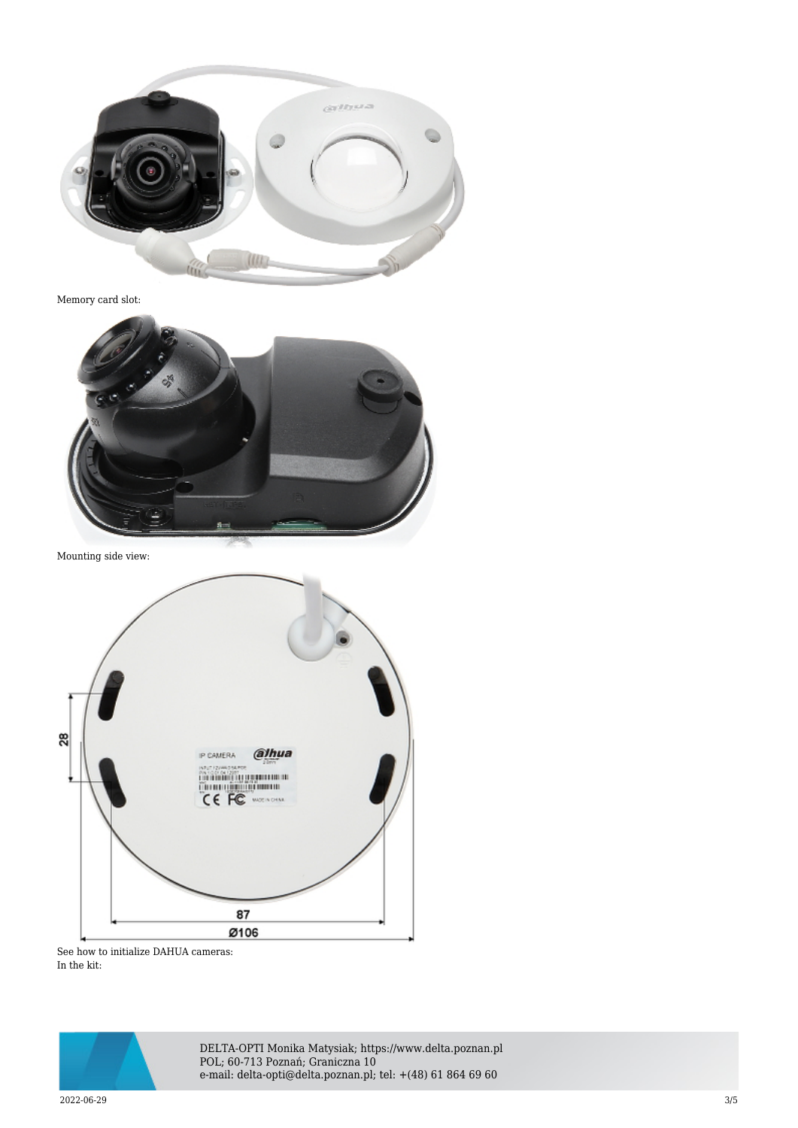

Memory card slot:



Mounting side view:



See how to initialize DAHUA cameras: In the kit:



DELTA-OPTI Monika Matysiak; https://www.delta.poznan.pl POL; 60-713 Poznań; Graniczna 10 e-mail: delta-opti@delta.poznan.pl; tel: +(48) 61 864 69 60

2022-06-29 3/5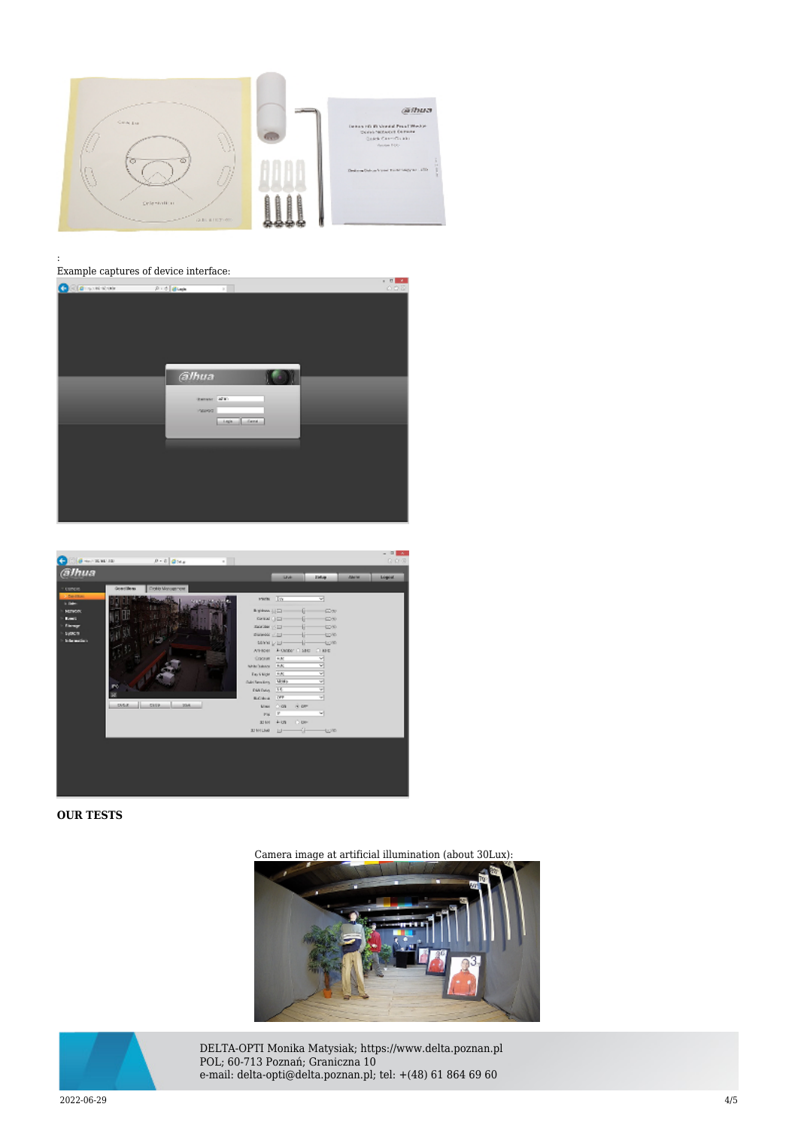

#### : Example captures of device interface:





#### **OUR TESTS**

Camera image at artificial illumination (about 30Lux):





DELTA-OPTI Monika Matysiak; https://www.delta.poznan.pl POL; 60-713 Poznań; Graniczna 10 e-mail: delta-opti@delta.poznan.pl; tel: +(48) 61 864 69 60

2022-06-29 4/5